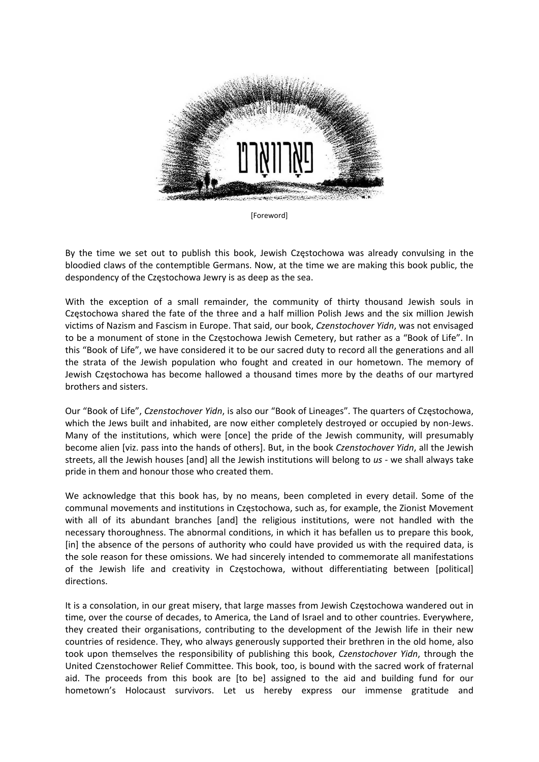

[Foreword]

By the time we set out to publish this book, Jewish Częstochowa was already convulsing in the bloodied claws of the contemptible Germans. Now, at the time we are making this book public, the despondency of the Częstochowa Jewry is as deep as the sea.

With the exception of a small remainder, the community of thirty thousand Jewish souls in Częstochowa shared the fate of the three and a half million Polish Jews and the six million Jewish victims of Nazism and Fascism in Europe. That said, our book, *Czenstochover Yidn*, was not envisaged to be a monument of stone in the Częstochowa Jewish Cemetery, but rather as a "Book of Life". In this "Book of Life", we have considered it to be our sacred duty to record all the generations and all the strata of the Jewish population who fought and created in our hometown. The memory of Jewish Częstochowa has become hallowed a thousand times more by the deaths of our martyred brothers and sisters.

Our "Book of Life", *Czenstochover Yidn*, is also our "Book of Lineages". The quarters of Częstochowa, which the Jews built and inhabited, are now either completely destroyed or occupied by non-Jews. Many of the institutions, which were [once] the pride of the Jewish community, will presumably become alien [viz. pass into the hands of others]. But, in the book *Czenstochover Yidn*, all the Jewish streets, all the Jewish houses [and] all the Jewish institutions will belong to *us* ‐ we shall always take pride in them and honour those who created them.

We acknowledge that this book has, by no means, been completed in every detail. Some of the communal movements and institutions in Częstochowa, such as, for example, the Zionist Movement with all of its abundant branches [and] the religious institutions, were not handled with the necessary thoroughness. The abnormal conditions, in which it has befallen us to prepare this book, [in] the absence of the persons of authority who could have provided us with the required data, is the sole reason for these omissions. We had sincerely intended to commemorate all manifestations of the Jewish life and creativity in Częstochowa, without differentiating between [political] directions.

It is a consolation, in our great misery, that large masses from Jewish Częstochowa wandered out in time, over the course of decades, to America, the Land of Israel and to other countries. Everywhere, they created their organisations, contributing to the development of the Jewish life in their new countries of residence. They, who always generously supported their brethren in the old home, also took upon themselves the responsibility of publishing this book, *Czenstochover Yidn*, through the United Czenstochower Relief Committee. This book, too, is bound with the sacred work of fraternal aid. The proceeds from this book are [to be] assigned to the aid and building fund for our hometown's Holocaust survivors. Let us hereby express our immense gratitude and